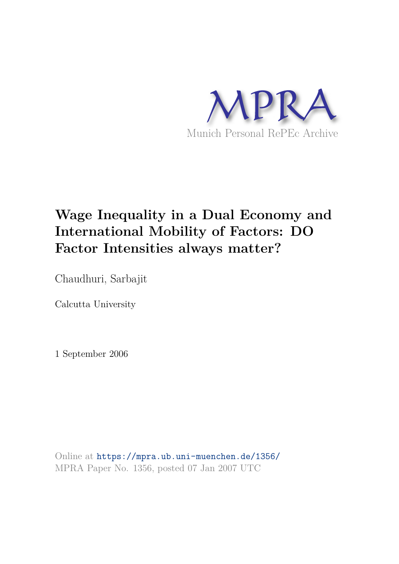

# **Wage Inequality in a Dual Economy and International Mobility of Factors: DO Factor Intensities always matter?**

Chaudhuri, Sarbajit

Calcutta University

1 September 2006

Online at https://mpra.ub.uni-muenchen.de/1356/ MPRA Paper No. 1356, posted 07 Jan 2007 UTC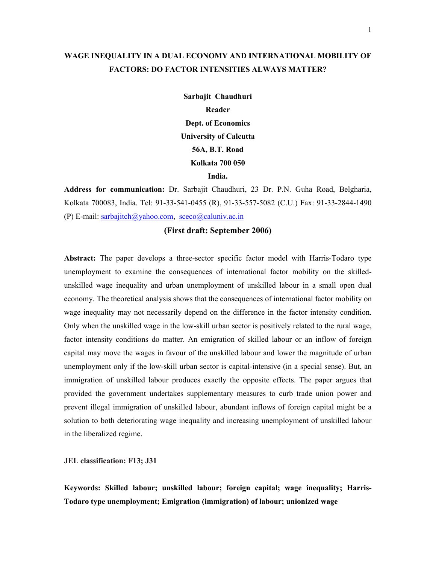# **WAGE INEQUALITY IN A DUAL ECONOMY AND INTERNATIONAL MOBILITY OF FACTORS: DO FACTOR INTENSITIES ALWAYS MATTER?**

**Sarbajit Chaudhuri Reader Dept. of Economics University of Calcutta 56A, B.T. Road Kolkata 700 050 India.** 

**Address for communication:** Dr. Sarbajit Chaudhuri, 23 Dr. P.N. Guha Road, Belgharia, Kolkata 700083, India. Tel: 91-33-541-0455 (R), 91-33-557-5082 (C.U.) Fax: 91-33-2844-1490 (P) E-mail:  $sarbajitch@yahoo.com$ ,  $seco@caluniv.ac.in$ 

## **(First draft: September 2006)**

**Abstract:** The paper develops a three-sector specific factor model with Harris-Todaro type unemployment to examine the consequences of international factor mobility on the skilledunskilled wage inequality and urban unemployment of unskilled labour in a small open dual economy. The theoretical analysis shows that the consequences of international factor mobility on wage inequality may not necessarily depend on the difference in the factor intensity condition. Only when the unskilled wage in the low-skill urban sector is positively related to the rural wage, factor intensity conditions do matter. An emigration of skilled labour or an inflow of foreign capital may move the wages in favour of the unskilled labour and lower the magnitude of urban unemployment only if the low-skill urban sector is capital-intensive (in a special sense). But, an immigration of unskilled labour produces exactly the opposite effects. The paper argues that provided the government undertakes supplementary measures to curb trade union power and prevent illegal immigration of unskilled labour, abundant inflows of foreign capital might be a solution to both deteriorating wage inequality and increasing unemployment of unskilled labour in the liberalized regime.

**JEL classification: F13; J31** 

**Keywords: Skilled labour; unskilled labour; foreign capital; wage inequality; Harris-Todaro type unemployment; Emigration (immigration) of labour; unionized wage**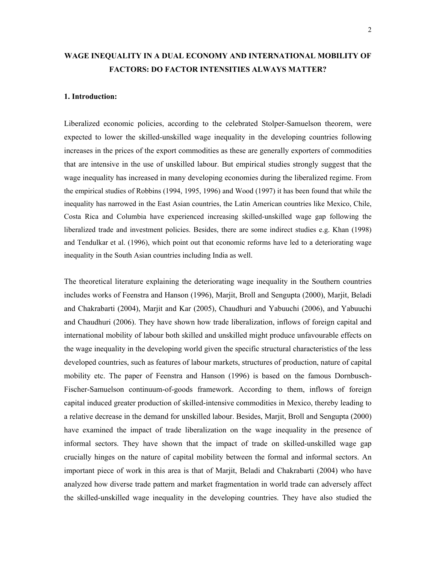## **1. Introduction:**

Liberalized economic policies, according to the celebrated Stolper-Samuelson theorem, were expected to lower the skilled-unskilled wage inequality in the developing countries following increases in the prices of the export commodities as these are generally exporters of commodities that are intensive in the use of unskilled labour. But empirical studies strongly suggest that the wage inequality has increased in many developing economies during the liberalized regime. From the empirical studies of Robbins (1994, 1995, 1996) and Wood (1997) it has been found that while the inequality has narrowed in the East Asian countries, the Latin American countries like Mexico, Chile, Costa Rica and Columbia have experienced increasing skilled-unskilled wage gap following the liberalized trade and investment policies. Besides, there are some indirect studies e.g. Khan (1998) and Tendulkar et al. (1996), which point out that economic reforms have led to a deteriorating wage inequality in the South Asian countries including India as well.

The theoretical literature explaining the deteriorating wage inequality in the Southern countries includes works of Feenstra and Hanson (1996), Marjit, Broll and Sengupta (2000), Marjit, Beladi and Chakrabarti (2004), Marjit and Kar (2005), Chaudhuri and Yabuuchi (2006), and Yabuuchi and Chaudhuri (2006). They have shown how trade liberalization, inflows of foreign capital and international mobility of labour both skilled and unskilled might produce unfavourable effects on the wage inequality in the developing world given the specific structural characteristics of the less developed countries, such as features of labour markets, structures of production, nature of capital mobility etc. The paper of Feenstra and Hanson (1996) is based on the famous Dornbusch-Fischer-Samuelson continuum-of-goods framework. According to them, inflows of foreign capital induced greater production of skilled-intensive commodities in Mexico, thereby leading to a relative decrease in the demand for unskilled labour. Besides, Marjit, Broll and Sengupta (2000) have examined the impact of trade liberalization on the wage inequality in the presence of informal sectors. They have shown that the impact of trade on skilled-unskilled wage gap crucially hinges on the nature of capital mobility between the formal and informal sectors. An important piece of work in this area is that of Marjit, Beladi and Chakrabarti (2004) who have analyzed how diverse trade pattern and market fragmentation in world trade can adversely affect the skilled-unskilled wage inequality in the developing countries. They have also studied the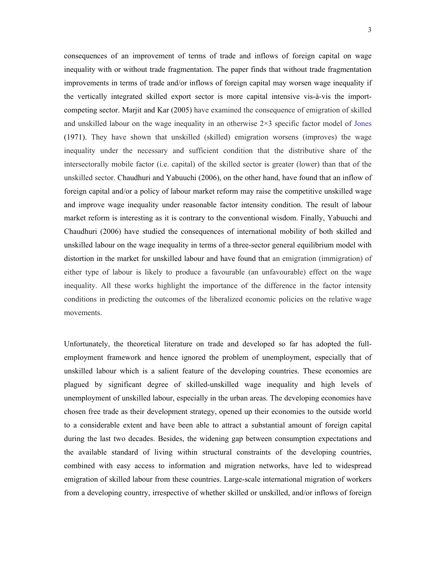consequences of an improvement of terms of trade and inflows of foreign capital on wage inequality with or without trade fragmentation. The paper finds that without trade fragmentation improvements in terms of trade and/or inflows of foreign capital may worsen wage inequality if the vertically integrated skilled export sector is more capital intensive vis-à-vis the importcompeting sector. Marjit and Kar (2005) have examined the consequence of emigration of skilled and unskilled labour on the wage inequality in an otherwise 2×3 specific factor model of Jones (1971). They have shown that unskilled (skilled) emigration worsens (improves) the wage inequality under the necessary and sufficient condition that the distributive share of the intersectorally mobile factor (i.e. capital) of the skilled sector is greater (lower) than that of the unskilled sector. Chaudhuri and Yabuuchi (2006), on the other hand, have found that an inflow of foreign capital and/or a policy of labour market reform may raise the competitive unskilled wage and improve wage inequality under reasonable factor intensity condition. The result of labour market reform is interesting as it is contrary to the conventional wisdom. Finally, Yabuuchi and Chaudhuri (2006) have studied the consequences of international mobility of both skilled and unskilled labour on the wage inequality in terms of a three-sector general equilibrium model with distortion in the market for unskilled labour and have found that an emigration (immigration) of either type of labour is likely to produce a favourable (an unfavourable) effect on the wage inequality. All these works highlight the importance of the difference in the factor intensity conditions in predicting the outcomes of the liberalized economic policies on the relative wage movements.

Unfortunately, the theoretical literature on trade and developed so far has adopted the fullemployment framework and hence ignored the problem of unemployment, especially that of unskilled labour which is a salient feature of the developing countries. These economies are plagued by significant degree of skilled-unskilled wage inequality and high levels of unemployment of unskilled labour, especially in the urban areas. The developing economies have chosen free trade as their development strategy, opened up their economies to the outside world to a considerable extent and have been able to attract a substantial amount of foreign capital during the last two decades. Besides, the widening gap between consumption expectations and the available standard of living within structural constraints of the developing countries, combined with easy access to information and migration networks, have led to widespread emigration of skilled labour from these countries. Large-scale international migration of workers from a developing country, irrespective of whether skilled or unskilled, and/or inflows of foreign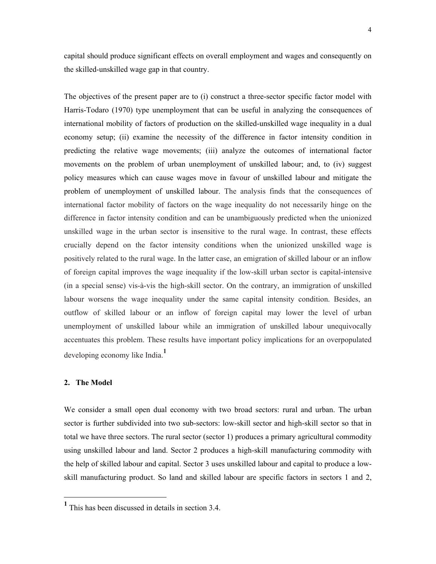capital should produce significant effects on overall employment and wages and consequently on the skilled-unskilled wage gap in that country.

The objectives of the present paper are to (i) construct a three-sector specific factor model with Harris-Todaro (1970) type unemployment that can be useful in analyzing the consequences of international mobility of factors of production on the skilled-unskilled wage inequality in a dual economy setup; (ii) examine the necessity of the difference in factor intensity condition in predicting the relative wage movements; (iii) analyze the outcomes of international factor movements on the problem of urban unemployment of unskilled labour; and, to (iv) suggest policy measures which can cause wages move in favour of unskilled labour and mitigate the problem of unemployment of unskilled labour. The analysis finds that the consequences of international factor mobility of factors on the wage inequality do not necessarily hinge on the difference in factor intensity condition and can be unambiguously predicted when the unionized unskilled wage in the urban sector is insensitive to the rural wage. In contrast, these effects crucially depend on the factor intensity conditions when the unionized unskilled wage is positively related to the rural wage. In the latter case, an emigration of skilled labour or an inflow of foreign capital improves the wage inequality if the low-skill urban sector is capital-intensive (in a special sense) vis-à-vis the high-skill sector. On the contrary, an immigration of unskilled labour worsens the wage inequality under the same capital intensity condition. Besides, an outflow of skilled labour or an inflow of foreign capital may lower the level of urban unemployment of unskilled labour while an immigration of unskilled labour unequivocally accentuates this problem. These results have important policy implications for an overpopulated developing economy like India.**<sup>1</sup>**

#### **2. The Model**

 $\overline{a}$ 

We consider a small open dual economy with two broad sectors: rural and urban. The urban sector is further subdivided into two sub-sectors: low-skill sector and high-skill sector so that in total we have three sectors. The rural sector (sector 1) produces a primary agricultural commodity using unskilled labour and land. Sector 2 produces a high-skill manufacturing commodity with the help of skilled labour and capital. Sector 3 uses unskilled labour and capital to produce a lowskill manufacturing product. So land and skilled labour are specific factors in sectors 1 and 2,

<sup>&</sup>lt;sup>1</sup> This has been discussed in details in section 3.4.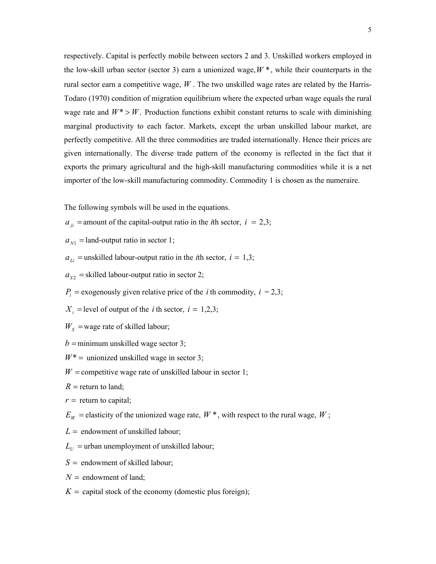respectively. Capital is perfectly mobile between sectors 2 and 3. Unskilled workers employed in the low-skill urban sector (sector 3) earn a unionized wage,  $W^*$ , while their counterparts in the rural sector earn a competitive wage, *W* . The two unskilled wage rates are related by the Harris-Todaro (1970) condition of migration equilibrium where the expected urban wage equals the rural wage rate and  $W^* > W$ . Production functions exhibit constant returns to scale with diminishing marginal productivity to each factor. Markets, except the urban unskilled labour market, are perfectly competitive. All the three commodities are traded internationally. Hence their prices are given internationally. The diverse trade pattern of the economy is reflected in the fact that it exports the primary agricultural and the high-skill manufacturing commodities while it is a net importer of the low-skill manufacturing commodity. Commodity 1 is chosen as the numeraire.

The following symbols will be used in the equations.

 $a_{ji}$  = amount of the capital-output ratio in the *i*th sector,  $i = 2,3$ ;

 $a_{N1}$  = land-output ratio in sector 1;

 $a_{Li}$  = unskilled labour-output ratio in the *i*th sector,  $i = 1,3$ ;

 $a_{S2}$  = skilled labour-output ratio in sector 2;

- $P_i$  = exogenously given relative price of the *i* th commodity,  $i = 2,3$ ;
- $X_i$  = level of output of the *i* th sector,  $i = 1,2,3$ ;

 $W<sub>S</sub>$  = wage rate of skilled labour;

- $b =$ minimum unskilled wage sector 3;
- $W^*$  = unionized unskilled wage in sector 3;
- $W =$  competitive wage rate of unskilled labour in sector 1;
- $R =$  return to land;
- $r =$  return to capital;
- $E_W$  = elasticity of the unionized wage rate,  $W^*$ , with respect to the rural wage,  $W$ ;
- $L =$  endowment of unskilled labour;
- $L_U$  = urban unemployment of unskilled labour;
- $S =$  endowment of skilled labour;
- $N =$  endowment of land;
- $K =$  capital stock of the economy (domestic plus foreign);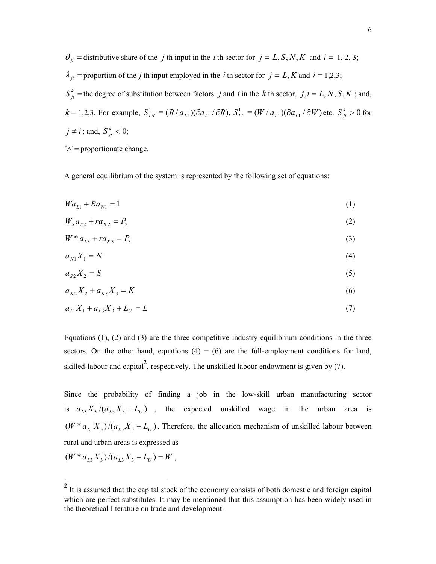$\theta_{ji}$  = distributive share of the *j* th input in the *i* th sector for  $j = L, S, N, K$  and  $i = 1, 2, 3$ ;  $\lambda_{ii}$  = proportion of the *j* th input employed in the *i* th sector for  $j = L$ , *K* and  $i = 1,2,3$ ;  $S_{ji}^k$  =the degree of substitution between factors *j* and *i* in the *k* th sector, *j*, *i* = *L*, *N*, *S*, *K* ; and,  $k = 1, 2, 3$ . For example,  $S_{LN}^1 \equiv (R/a_{L1})(\partial a_{L1}/\partial R), S_{LL}^1 \equiv (W/a_{L1})(\partial a_{L1}/\partial W)$  $S_{LL}^1 \equiv (W / a_{L1}) (\partial a_{L1} / \partial W)$  etc.  $S_{ji}^k > 0$  for  $j \neq i$ ; and,  $S_{jj}^k < 0$ ;  $'\wedge'$  = proportionate change.

A general equilibrium of the system is represented by the following set of equations:

$$
Wa_{L1} + Ra_{N1} = 1 \tag{1}
$$

$$
W_{S}a_{S2} + ra_{K2} = P_{2}
$$
 (2)

$$
W * a_{23} + r a_{K3} = P_3 \tag{3}
$$

$$
a_{N1}X_1 = N \tag{4}
$$

$$
a_{s2}X_2 = S \tag{5}
$$

$$
a_{K2}X_2 + a_{K3}X_3 = K \tag{6}
$$

$$
a_{L1}X_1 + a_{L3}X_3 + L_U = L \tag{7}
$$

Equations  $(1)$ ,  $(2)$  and  $(3)$  are the three competitive industry equilibrium conditions in the three sectors. On the other hand, equations  $(4) - (6)$  are the full-employment conditions for land, skilled-labour and capital<sup>2</sup>, respectively. The unskilled labour endowment is given by (7).

Since the probability of finding a job in the low-skill urban manufacturing sector is  $a_{L3}X_3/(a_{L3}X_3 + L_U)$ , the expected unskilled wage in the urban area is  $(W^* a_{L3} X_3) / (a_{L3} X_3 + L_U)$ . Therefore, the allocation mechanism of unskilled labour between rural and urban areas is expressed as

 $(W * a_{L3}X_3)/(a_{L3}X_3 + L_U) = W$ ,

-

<sup>&</sup>lt;sup>2</sup> It is assumed that the capital stock of the economy consists of both domestic and foreign capital which are perfect substitutes. It may be mentioned that this assumption has been widely used in the theoretical literature on trade and development.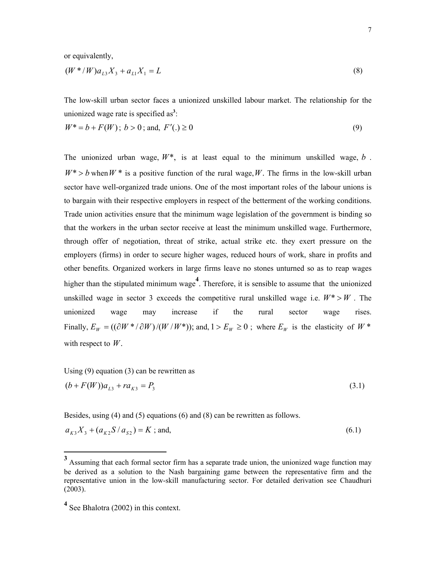or equivalently,

$$
(W^* / W)a_{L3}X_3 + a_{L1}X_1 = L
$$
\n(8)

The low-skill urban sector faces a unionized unskilled labour market. The relationship for the unionized wage rate is specified as**<sup>3</sup>** :

$$
W^* = b + F(W); b > 0; \text{ and, } F'(.) \ge 0
$$
\n(9)

The unionized urban wage,  $W^*$ , is at least equal to the minimum unskilled wage, *b*.  $W^* > b$  when  $W^*$  is a positive function of the rural wage, W. The firms in the low-skill urban sector have well-organized trade unions. One of the most important roles of the labour unions is to bargain with their respective employers in respect of the betterment of the working conditions. Trade union activities ensure that the minimum wage legislation of the government is binding so that the workers in the urban sector receive at least the minimum unskilled wage. Furthermore, through offer of negotiation, threat of strike, actual strike etc. they exert pressure on the employers (firms) in order to secure higher wages, reduced hours of work, share in profits and other benefits. Organized workers in large firms leave no stones unturned so as to reap wages higher than the stipulated minimum wage<sup>4</sup>. Therefore, it is sensible to assume that the unionized unskilled wage in sector 3 exceeds the competitive rural unskilled wage i.e.  $W^* > W$ . The unionized wage may increase if the rural sector wage rises. Finally,  $E_W = ((\partial W^* / \partial W) / (W / W^*))$ ; and,  $1 > E_W \ge 0$ ; where  $E_W$  is the elasticity of  $W^*$ with respect to *W*.

Using (9) equation (3) can be rewritten as  $(b + F(W))a_{L3} + ra_{K3} = P_3$  (3.1)

Besides, using (4) and (5) equations (6) and (8) can be rewritten as follows.

$$
a_{K3}X_3 + (a_{K2}S/a_{S2}) = K \text{ ; and, } \tag{6.1}
$$

 $\overline{a}$ 

<sup>&</sup>lt;sup>3</sup> Assuming that each formal sector firm has a separate trade union, the unionized wage function may be derived as a solution to the Nash bargaining game between the representative firm and the representative union in the low-skill manufacturing sector. For detailed derivation see Chaudhuri (2003).

<sup>&</sup>lt;sup>4</sup> See Bhalotra (2002) in this context.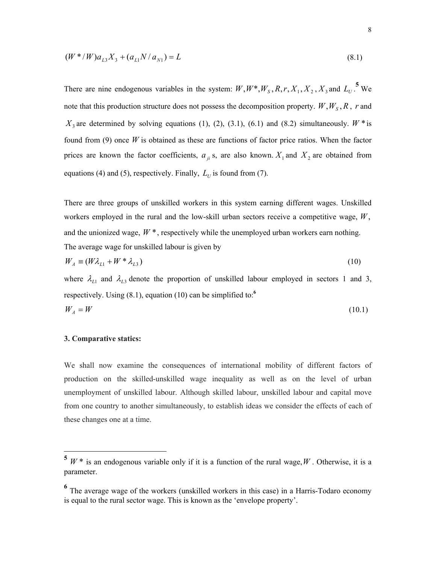$$
(W^* / W)a_{L3}X_3 + (a_{L1}N / a_{N1}) = L
$$
\n(8.1)

There are nine endogenous variables in the system:  $W$ ,  $W^*$ ,  $W_s$ ,  $R$ ,  $r$ ,  $X_1$ ,  $X_2$ ,  $X_3$  and  $L_U$ .<sup>5</sup> We note that this production structure does not possess the decomposition property. *W*,*W<sup>S</sup>* , *R* , *r* and  $X_3$  are determined by solving equations (1), (2), (3.1), (6.1) and (8.2) simultaneously. *W* \* is found from (9) once *W* is obtained as these are functions of factor price ratios. When the factor prices are known the factor coefficients,  $a_{ji}$  s, are also known.  $X_1$  and  $X_2$  are obtained from equations (4) and (5), respectively. Finally,  $L_U$  is found from (7).

There are three groups of unskilled workers in this system earning different wages. Unskilled workers employed in the rural and the low-skill urban sectors receive a competitive wage, *W* , and the unionized wage,  $W^*$ , respectively while the unemployed urban workers earn nothing. The average wage for unskilled labour is given by

$$
W_A \equiv (W\lambda_{L1} + W^* \lambda_{L3}) \tag{10}
$$

where  $\lambda_{L1}$  and  $\lambda_{L3}$  denote the proportion of unskilled labour employed in sectors 1 and 3, respectively. Using  $(8.1)$ , equation  $(10)$  can be simplified to:<sup>6</sup>

$$
W_A = W \tag{10.1}
$$

## **3. Comparative statics:**

 $\overline{a}$ 

We shall now examine the consequences of international mobility of different factors of production on the skilled-unskilled wage inequality as well as on the level of urban unemployment of unskilled labour. Although skilled labour, unskilled labour and capital move from one country to another simultaneously, to establish ideas we consider the effects of each of these changes one at a time.

 $5 W^*$  is an endogenous variable only if it is a function of the rural wage, W. Otherwise, it is a parameter.

**<sup>6</sup>** The average wage of the workers (unskilled workers in this case) in a Harris-Todaro economy is equal to the rural sector wage. This is known as the 'envelope property'.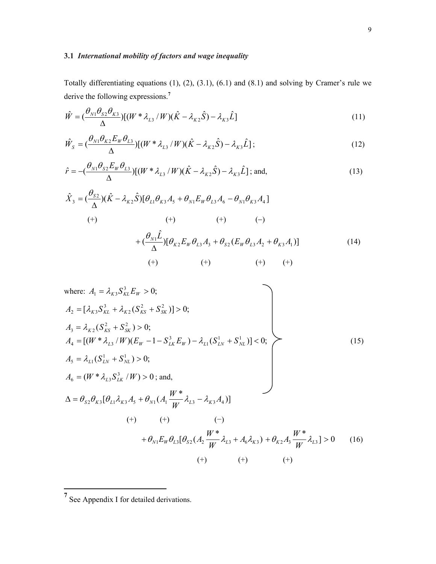## **3.1** *International mobility of factors and wage inequality*

Totally differentiating equations (1), (2), (3.1), (6.1) and (8.1) and solving by Cramer's rule we derive the following expressions.**<sup>7</sup>**

$$
\hat{W} = \left(\frac{\theta_{N1}\theta_{S2}\theta_{K3}}{\Delta}\right)[(W*\lambda_{L3}/W)(\hat{K}-\lambda_{K2}\hat{S})-\lambda_{K3}\hat{L}]
$$
\n(11)

$$
\hat{W}_S = \left(\frac{\theta_{N1}\theta_{K2}E_W\theta_{L3}}{\Delta}\right)[(W*\lambda_{L3}/W)(\hat{K}-\lambda_{K2}\hat{S})-\lambda_{K3}\hat{L}];\tag{12}
$$

$$
\hat{r} = -\left(\frac{\theta_{N1}\theta_{S2}E_W\theta_{L3}}{\Delta}\right)[(W*\lambda_{L3}/W)(\hat{K}-\lambda_{K2}\hat{S}) - \lambda_{K3}\hat{L}]; \text{ and,}
$$
\n(13)

$$
\hat{X}_3 = \left(\frac{\theta_{S2}}{\Delta}\right)(\hat{K} - \lambda_{K2}\hat{S})[\theta_{L1}\theta_{K3}A_5 + \theta_{N1}E_W\theta_{L3}A_6 - \theta_{N1}\theta_{K3}A_4]
$$
\n
$$
(+) \qquad (+) \qquad (-)
$$
\n
$$
+ \left(\frac{\theta_{N1}\hat{L}}{\Delta}\right)[\theta_{K2}E_W\theta_{L3}A_3 + \theta_{S2}(E_W\theta_{L3}A_2 + \theta_{K3}A_1)]
$$
\n
$$
(+) \qquad (+) \qquad (+) \qquad (+) \qquad (+)
$$
\n
$$
(14)
$$

where: 
$$
A_1 = \lambda_{K3} S_{KL}^3 E_W > 0
$$
;  
\n $A_2 = [\lambda_{K3} S_{KL}^3 + \lambda_{K2} (S_{KS}^2 + S_{SK}^2)] > 0$ ;  
\n $A_3 = \lambda_{K2} (S_{KS}^2 + S_{SK}^2) > 0$ ;  
\n $A_4 = [(W * \lambda_{L3} / W) (E_W - 1 - S_{LK}^3 E_W) - \lambda_{L1} (S_{LN}^1 + S_{NL}^1)] < 0$ ;  
\n $A_5 = \lambda_{L1} (S_{LN}^1 + S_{NL}^1) > 0$ ;  
\n $A_6 = (W * \lambda_{L3} S_{LK}^3 / W) > 0$ ;  
\nand,  
\n $\Delta = \theta_{S2} \theta_{K3} [\theta_{L1} \lambda_{K3} A_5 + \theta_{N1} (A_1 \frac{W *}{W} \lambda_{L3} - \lambda_{K3} A_4)]$   
\n $(+)$   
\n $+ \theta_{N1} E_W \theta_{L3} [\theta_{S2} (A_2 \frac{W *}{W} \lambda_{L3} + A_6 \lambda_{K3}) + \theta_{K2} A_3 \frac{W *}{W} \lambda_{L3}] > 0$  (16)  
\n $(+)$   
\n $(+)$   
\n $(+)$   
\n $(+)$ 

 $\overline{a}$ 

<sup>&</sup>lt;sup>7</sup> See Appendix I for detailed derivations.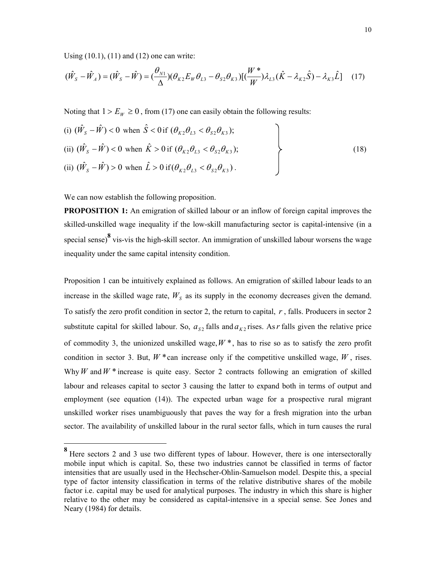Using  $(10.1)$ ,  $(11)$  and  $(12)$  one can write:

$$
(\hat{W}_S - \hat{W}_A) = (\hat{W}_S - \hat{W}) = (\frac{\theta_{N1}}{\Delta})(\theta_{K2}E_W\theta_{L3} - \theta_{S2}\theta_{K3})[(\frac{W^*}{W})\lambda_{L3}(\hat{K} - \lambda_{K2}\hat{S}) - \lambda_{K3}\hat{L}] \quad (17)
$$

Noting that  $1 > E_W \ge 0$ , from (17) one can easily obtain the following results:

(i) 
$$
(\hat{W}_s - \hat{W}) < 0
$$
 when  $\hat{S} < 0$  if  $(\theta_{K2}\theta_{L3} < \theta_{S2}\theta_{K3})$ ;  
\n(ii)  $(\hat{W}_s - \hat{W}) < 0$  when  $\hat{K} > 0$  if  $(\theta_{K2}\theta_{L3} < \theta_{S2}\theta_{K3})$ ;  
\n(i)  $(\hat{W}_s - \hat{W}) > 0$  when  $\hat{L} > 0$  if  $(\theta_{K2}\theta_{L3} < \theta_{S2}\theta_{K3})$ .

We can now establish the following proposition.

-

**PROPOSITION 1:** An emigration of skilled labour or an inflow of foreign capital improves the skilled-unskilled wage inequality if the low-skill manufacturing sector is capital-intensive (in a special sense)<sup>8</sup> vis-vis the high-skill sector. An immigration of unskilled labour worsens the wage inequality under the same capital intensity condition.

Proposition 1 can be intuitively explained as follows. An emigration of skilled labour leads to an increase in the skilled wage rate,  $W<sub>S</sub>$  as its supply in the economy decreases given the demand. To satisfy the zero profit condition in sector 2, the return to capital, *r* , falls. Producers in sector 2 substitute capital for skilled labour. So,  $a_{s2}$  falls and  $a_{K2}$  rises. As *r* falls given the relative price of commodity 3, the unionized unskilled wage,  $W^*$ , has to rise so as to satisfy the zero profit condition in sector 3. But,  $W^*$  can increase only if the competitive unskilled wage,  $W$ , rises. Why *W* and  $W^*$  increase is quite easy. Sector 2 contracts following an emigration of skilled labour and releases capital to sector 3 causing the latter to expand both in terms of output and employment (see equation (14)). The expected urban wage for a prospective rural migrant unskilled worker rises unambiguously that paves the way for a fresh migration into the urban sector. The availability of unskilled labour in the rural sector falls, which in turn causes the rural

**<sup>8</sup>** Here sectors 2 and 3 use two different types of labour. However, there is one intersectorally mobile input which is capital. So, these two industries cannot be classified in terms of factor intensities that are usually used in the Hechscher-Ohlin-Samuelson model. Despite this, a special type of factor intensity classification in terms of the relative distributive shares of the mobile factor i.e. capital may be used for analytical purposes. The industry in which this share is higher relative to the other may be considered as capital-intensive in a special sense. See Jones and Neary (1984) for details.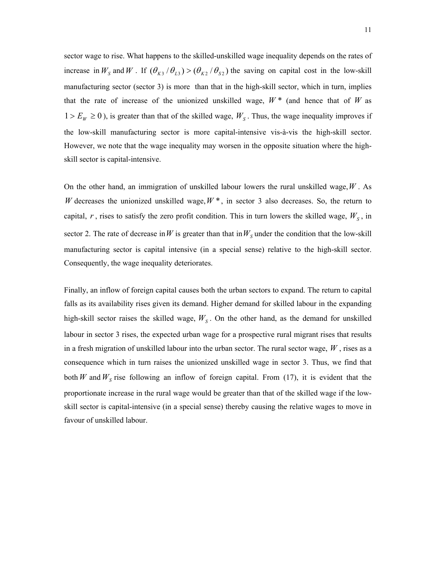sector wage to rise. What happens to the skilled-unskilled wage inequality depends on the rates of increase in  $W_s$  and W. If  $(\theta_{K3}/\theta_{L3}) > (\theta_{K2}/\theta_{S2})$  the saving on capital cost in the low-skill manufacturing sector (sector 3) is more than that in the high-skill sector, which in turn, implies that the rate of increase of the unionized unskilled wage,  $W^*$  (and hence that of *W* as  $1 > E_W \ge 0$ ), is greater than that of the skilled wage,  $W_S$ . Thus, the wage inequality improves if the low-skill manufacturing sector is more capital-intensive vis-à-vis the high-skill sector. However, we note that the wage inequality may worsen in the opposite situation where the highskill sector is capital-intensive.

On the other hand, an immigration of unskilled labour lowers the rural unskilled wage,  $W$ . As *W* decreases the unionized unskilled wage,  $W^*$ , in sector 3 also decreases. So, the return to capital,  $r$ , rises to satisfy the zero profit condition. This in turn lowers the skilled wage,  $W<sub>S</sub>$ , in sector 2. The rate of decrease in W is greater than that in  $W<sub>S</sub>$  under the condition that the low-skill manufacturing sector is capital intensive (in a special sense) relative to the high-skill sector. Consequently, the wage inequality deteriorates.

Finally, an inflow of foreign capital causes both the urban sectors to expand. The return to capital falls as its availability rises given its demand. Higher demand for skilled labour in the expanding high-skill sector raises the skilled wage,  $W<sub>S</sub>$ . On the other hand, as the demand for unskilled labour in sector 3 rises, the expected urban wage for a prospective rural migrant rises that results in a fresh migration of unskilled labour into the urban sector. The rural sector wage, *W* , rises as a consequence which in turn raises the unionized unskilled wage in sector 3. Thus, we find that both *W* and  $W_s$  rise following an inflow of foreign capital. From (17), it is evident that the proportionate increase in the rural wage would be greater than that of the skilled wage if the lowskill sector is capital-intensive (in a special sense) thereby causing the relative wages to move in favour of unskilled labour.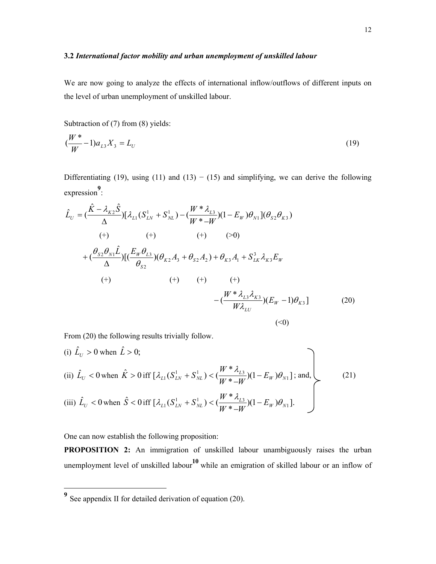## **3.2** *International factor mobility and urban unemployment of unskilled labour*

We are now going to analyze the effects of international inflow/outflows of different inputs on the level of urban unemployment of unskilled labour.

Subtraction of (7) from (8) yields:

$$
(\frac{W^*}{W} - 1)a_{L3}X_3 = L_U
$$
\n(19)

Differentiating (19), using (11) and (13) – (15) and simplifying, we can derive the following expression<sup>9</sup>:

$$
\hat{L}_{U} = (\frac{\hat{K} - \lambda_{K2} \hat{S}}{\Delta}) [\lambda_{L1} (S_{LN}^{1} + S_{NL}^{1}) - (\frac{W * \lambda_{L3}}{W * - W}) (1 - E_{W}) \theta_{N1}] (\theta_{S2} \theta_{K3})
$$
\n
$$
(+) \qquad (+) \qquad (+) \qquad (-0)
$$
\n
$$
+ (\frac{\theta_{S2} \theta_{N1} \hat{L}}{\Delta}) [(\frac{E_{W} \theta_{L3}}{\theta_{S2}}) (\theta_{K2} A_{3} + \theta_{S2} A_{2}) + \theta_{K3} A_{1} + S_{LK}^{3} \lambda_{K3} E_{W}
$$
\n
$$
(+) \qquad (+) \qquad (+) \qquad (+)
$$
\n
$$
- (\frac{W * \lambda_{L3} \lambda_{K3}}{W \lambda_{LU}}) (E_{W} - 1) \theta_{K3}] \qquad (20)
$$
\n
$$
(<0)
$$

From (20) the following results trivially follow.

(i) 
$$
\hat{L}_U > 0
$$
 when  $\hat{L} > 0$ ;  
\n(ii)  $\hat{L}_U < 0$  when  $\hat{K} > 0$  iff  $[\lambda_{L1}(S_{LN}^1 + S_{NL}^1) < (\frac{W^* \lambda_{L3}}{W^* - W})(1 - E_W) \theta_{N1}]$ ; and,  
\n(iii)  $\hat{L}_U < 0$  when  $\hat{S} < 0$  iff  $[\lambda_{L1}(S_{LN}^1 + S_{NL}^1) < (\frac{W^* \lambda_{L3}}{W^* - W})(1 - E_W) \theta_{N1}]$ . (21)

One can now establish the following proposition:

 $\overline{a}$ 

**PROPOSITION 2:** An immigration of unskilled labour unambiguously raises the urban unemployment level of unskilled labour**10** while an emigration of skilled labour or an inflow of

<sup>&</sup>lt;sup>9</sup> See appendix II for detailed derivation of equation (20).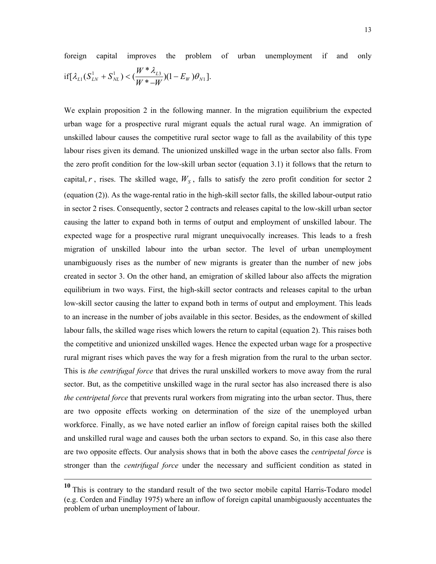foreign capital improves the problem of urban unemployment if and only if  $[\lambda_{L1}(S_{LN}^1 + S_{NL}^1) < (\frac{W_{L3}}{W_{L1}})(1 - E_W)\theta_{N1}]$ . \*  $\left[ \lambda_{L1} (S_{LN}^1 + S_{NL}^1) < (\frac{W * \lambda_{L3}}{W * - W})(1 - E_W) \theta_{N1} \right]$  $\lambda_{L1}(S^1_{LN} + S^1_{NL}) < (\frac{W^* \lambda_{L3}}{W^* \lambda_{L3}})(1 - E_W) \theta$ −  $+S_{NL}^{1}$ ) <  $(\frac{W_{L3}}{W_{L2}+W_{L3}})(1-E_{W})\theta_{N1}$ ].

We explain proposition 2 in the following manner. In the migration equilibrium the expected urban wage for a prospective rural migrant equals the actual rural wage. An immigration of unskilled labour causes the competitive rural sector wage to fall as the availability of this type labour rises given its demand. The unionized unskilled wage in the urban sector also falls. From the zero profit condition for the low-skill urban sector (equation 3.1) it follows that the return to capital,  $r$ , rises. The skilled wage,  $W<sub>S</sub>$ , falls to satisfy the zero profit condition for sector 2 (equation (2)). As the wage-rental ratio in the high-skill sector falls, the skilled labour-output ratio in sector 2 rises. Consequently, sector 2 contracts and releases capital to the low-skill urban sector causing the latter to expand both in terms of output and employment of unskilled labour. The expected wage for a prospective rural migrant unequivocally increases. This leads to a fresh migration of unskilled labour into the urban sector. The level of urban unemployment unambiguously rises as the number of new migrants is greater than the number of new jobs created in sector 3. On the other hand, an emigration of skilled labour also affects the migration equilibrium in two ways. First, the high-skill sector contracts and releases capital to the urban low-skill sector causing the latter to expand both in terms of output and employment. This leads to an increase in the number of jobs available in this sector. Besides, as the endowment of skilled labour falls, the skilled wage rises which lowers the return to capital (equation 2). This raises both the competitive and unionized unskilled wages. Hence the expected urban wage for a prospective rural migrant rises which paves the way for a fresh migration from the rural to the urban sector. This is *the centrifugal force* that drives the rural unskilled workers to move away from the rural sector. But, as the competitive unskilled wage in the rural sector has also increased there is also *the centripetal force* that prevents rural workers from migrating into the urban sector. Thus, there are two opposite effects working on determination of the size of the unemployed urban workforce. Finally, as we have noted earlier an inflow of foreign capital raises both the skilled and unskilled rural wage and causes both the urban sectors to expand. So, in this case also there are two opposite effects. Our analysis shows that in both the above cases the *centripetal force* is stronger than the *centrifugal force* under the necessary and sufficient condition as stated in

-

**<sup>10</sup>** This is contrary to the standard result of the two sector mobile capital Harris-Todaro model (e.g. Corden and Findlay 1975) where an inflow of foreign capital unambiguously accentuates the problem of urban unemployment of labour.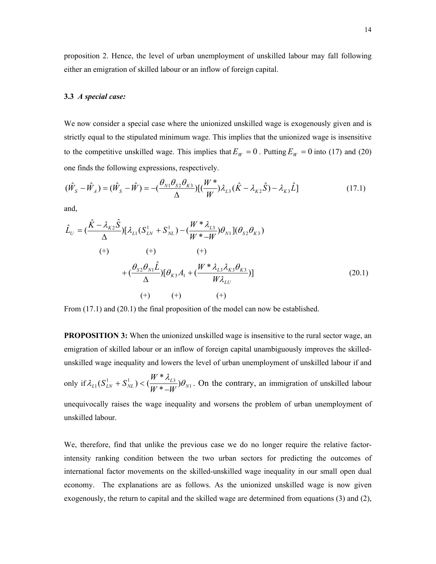proposition 2. Hence, the level of urban unemployment of unskilled labour may fall following either an emigration of skilled labour or an inflow of foreign capital.

## **3.3** *A special case:*

We now consider a special case where the unionized unskilled wage is exogenously given and is strictly equal to the stipulated minimum wage. This implies that the unionized wage is insensitive to the competitive unskilled wage. This implies that  $E_W = 0$ . Putting  $E_W = 0$  into (17) and (20) one finds the following expressions, respectively.

$$
(\hat{W}_S - \hat{W}_A) = (\hat{W}_S - \hat{W}) = -(\frac{\theta_{N1}\theta_{S2}\theta_{K3}}{\Delta})[(\frac{W^*}{W})\lambda_{L3}(\hat{K} - \lambda_{K2}\hat{S}) - \lambda_{K3}\hat{L}]
$$
\n(17.1)

and,

$$
\hat{L}_U = (\frac{\hat{K} - \lambda_{K2} \hat{S}}{\Delta}) [\lambda_{L1} (S_{LN}^1 + S_{NL}^1) - (\frac{W^* \lambda_{L3}}{W^* - W}) \theta_{N1}] (\theta_{S2} \theta_{K3})
$$
\n
$$
(+) \qquad (+) \qquad (+)
$$
\n
$$
+ (\frac{\theta_{S2} \theta_{N1} \hat{L}}{\Delta}) [\theta_{K3} A_1 + (\frac{W^* \lambda_{L3} \lambda_{K3} \theta_{K3}}{W \lambda_{LU}})]
$$
\n
$$
(+) \qquad (+) \qquad (+)
$$
\n
$$
(20.1)
$$

From  $(17.1)$  and  $(20.1)$  the final proposition of the model can now be established.

**PROPOSITION 3:** When the unionized unskilled wage is insensitive to the rural sector wage, an emigration of skilled labour or an inflow of foreign capital unambiguously improves the skilledunskilled wage inequality and lowers the level of urban unemployment of unskilled labour if and

only if 
$$
\lambda_{L1}(S_{LN}^1 + S_{NL}^1) < (\frac{W^* \lambda_{L3}}{W^* - W}) \theta_{N1}
$$
. On the contrary, an immigration of unskilled labour

unequivocally raises the wage inequality and worsens the problem of urban unemployment of unskilled labour.

We, therefore, find that unlike the previous case we do no longer require the relative factorintensity ranking condition between the two urban sectors for predicting the outcomes of international factor movements on the skilled-unskilled wage inequality in our small open dual economy. The explanations are as follows. As the unionized unskilled wage is now given exogenously, the return to capital and the skilled wage are determined from equations (3) and (2),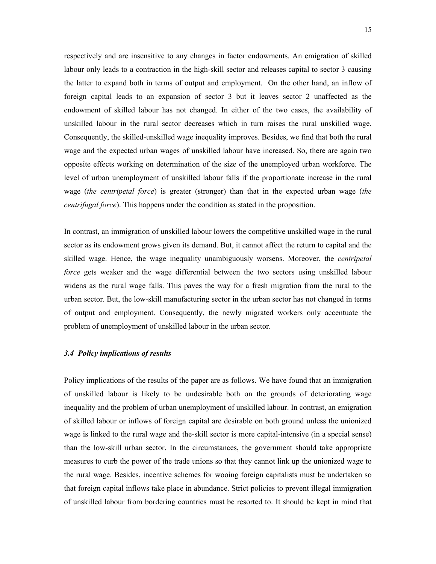respectively and are insensitive to any changes in factor endowments. An emigration of skilled labour only leads to a contraction in the high-skill sector and releases capital to sector 3 causing the latter to expand both in terms of output and employment. On the other hand, an inflow of foreign capital leads to an expansion of sector 3 but it leaves sector 2 unaffected as the endowment of skilled labour has not changed. In either of the two cases, the availability of unskilled labour in the rural sector decreases which in turn raises the rural unskilled wage. Consequently, the skilled-unskilled wage inequality improves. Besides, we find that both the rural wage and the expected urban wages of unskilled labour have increased. So, there are again two opposite effects working on determination of the size of the unemployed urban workforce. The level of urban unemployment of unskilled labour falls if the proportionate increase in the rural wage (*the centripetal force*) is greater (stronger) than that in the expected urban wage (*the centrifugal force*). This happens under the condition as stated in the proposition.

In contrast, an immigration of unskilled labour lowers the competitive unskilled wage in the rural sector as its endowment grows given its demand. But, it cannot affect the return to capital and the skilled wage. Hence, the wage inequality unambiguously worsens. Moreover, the *centripetal force* gets weaker and the wage differential between the two sectors using unskilled labour widens as the rural wage falls. This paves the way for a fresh migration from the rural to the urban sector. But, the low-skill manufacturing sector in the urban sector has not changed in terms of output and employment. Consequently, the newly migrated workers only accentuate the problem of unemployment of unskilled labour in the urban sector.

## *3.4 Policy implications of results*

Policy implications of the results of the paper are as follows. We have found that an immigration of unskilled labour is likely to be undesirable both on the grounds of deteriorating wage inequality and the problem of urban unemployment of unskilled labour. In contrast, an emigration of skilled labour or inflows of foreign capital are desirable on both ground unless the unionized wage is linked to the rural wage and the-skill sector is more capital-intensive (in a special sense) than the low-skill urban sector. In the circumstances, the government should take appropriate measures to curb the power of the trade unions so that they cannot link up the unionized wage to the rural wage. Besides, incentive schemes for wooing foreign capitalists must be undertaken so that foreign capital inflows take place in abundance. Strict policies to prevent illegal immigration of unskilled labour from bordering countries must be resorted to. It should be kept in mind that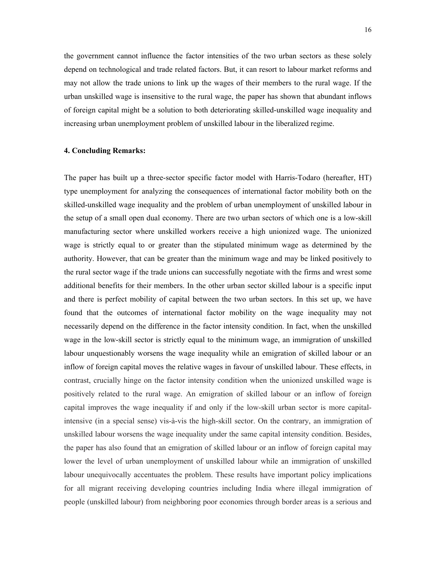the government cannot influence the factor intensities of the two urban sectors as these solely depend on technological and trade related factors. But, it can resort to labour market reforms and may not allow the trade unions to link up the wages of their members to the rural wage. If the urban unskilled wage is insensitive to the rural wage, the paper has shown that abundant inflows of foreign capital might be a solution to both deteriorating skilled-unskilled wage inequality and increasing urban unemployment problem of unskilled labour in the liberalized regime.

## **4. Concluding Remarks:**

The paper has built up a three-sector specific factor model with Harris-Todaro (hereafter, HT) type unemployment for analyzing the consequences of international factor mobility both on the skilled-unskilled wage inequality and the problem of urban unemployment of unskilled labour in the setup of a small open dual economy. There are two urban sectors of which one is a low-skill manufacturing sector where unskilled workers receive a high unionized wage. The unionized wage is strictly equal to or greater than the stipulated minimum wage as determined by the authority. However, that can be greater than the minimum wage and may be linked positively to the rural sector wage if the trade unions can successfully negotiate with the firms and wrest some additional benefits for their members. In the other urban sector skilled labour is a specific input and there is perfect mobility of capital between the two urban sectors. In this set up, we have found that the outcomes of international factor mobility on the wage inequality may not necessarily depend on the difference in the factor intensity condition. In fact, when the unskilled wage in the low-skill sector is strictly equal to the minimum wage, an immigration of unskilled labour unquestionably worsens the wage inequality while an emigration of skilled labour or an inflow of foreign capital moves the relative wages in favour of unskilled labour. These effects, in contrast, crucially hinge on the factor intensity condition when the unionized unskilled wage is positively related to the rural wage. An emigration of skilled labour or an inflow of foreign capital improves the wage inequality if and only if the low-skill urban sector is more capitalintensive (in a special sense) vis-à-vis the high-skill sector. On the contrary, an immigration of unskilled labour worsens the wage inequality under the same capital intensity condition. Besides, the paper has also found that an emigration of skilled labour or an inflow of foreign capital may lower the level of urban unemployment of unskilled labour while an immigration of unskilled labour unequivocally accentuates the problem. These results have important policy implications for all migrant receiving developing countries including India where illegal immigration of people (unskilled labour) from neighboring poor economies through border areas is a serious and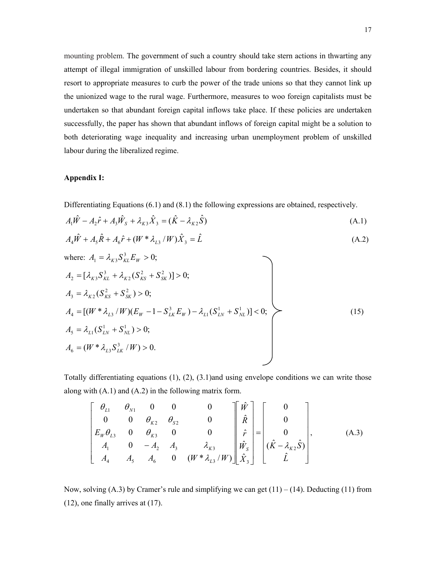mounting problem. The government of such a country should take stern actions in thwarting any attempt of illegal immigration of unskilled labour from bordering countries. Besides, it should resort to appropriate measures to curb the power of the trade unions so that they cannot link up the unionized wage to the rural wage. Furthermore, measures to woo foreign capitalists must be undertaken so that abundant foreign capital inflows take place. If these policies are undertaken successfully, the paper has shown that abundant inflows of foreign capital might be a solution to both deteriorating wage inequality and increasing urban unemployment problem of unskilled labour during the liberalized regime.

## **Appendix I:**

Differentiating Equations (6.1) and (8.1) the following expressions are obtained, respectively.

$$
A_1 \hat{W} - A_2 \hat{r} + A_3 \hat{W}_S + \lambda_{K3} \hat{X}_3 = (\hat{K} - \lambda_{K2} \hat{S})
$$
\n(A.1)

$$
A_4 \hat{W} + A_5 \hat{R} + A_6 \hat{r} + (W^* \lambda_{L3} / W) \hat{X}_3 = \hat{L}
$$
 (A.2)

where: 
$$
A_1 = \lambda_{K3} S_{KL}^3 E_W > 0
$$
;  
\n $A_2 = [\lambda_{K3} S_{KL}^3 + \lambda_{K2} (S_{KS}^2 + S_{SK}^2)] > 0$ ;  
\n $A_3 = \lambda_{K2} (S_{KS}^2 + S_{SK}^2) > 0$ ;  
\n $A_4 = [(W * \lambda_{L3} / W)(E_W - 1 - S_{LK}^3 E_W) - \lambda_{L1} (S_{LN}^1 + S_{NL}^1)] < 0$ ;  
\n $A_5 = \lambda_{L1} (S_{LN}^1 + S_{NL}^1) > 0$ ;  
\n $A_6 = (W * \lambda_{L3} S_{LK}^3 / W) > 0$ . (15)

Totally differentiating equations (1), (2), (3.1)and using envelope conditions we can write those along with (A.1) and (A.2) in the following matrix form.

$$
\begin{bmatrix}\n\theta_{L1} & \theta_{N1} & 0 & 0 & 0 \\
0 & 0 & \theta_{K2} & \theta_{S2} & 0 \\
E_W \theta_{L3} & 0 & \theta_{K3} & 0 & 0 \\
A_1 & 0 & -A_2 & A_3 & \lambda_{K3} \\
A_4 & A_5 & A_6 & 0 & (W * \lambda_{L3}/W)\n\end{bmatrix}\n\begin{bmatrix}\n\hat{W} \\
\hat{R} \\
\hat{R} \\
\hat{r} \\
\hat{W}_S \\
\hat{X}_3\n\end{bmatrix} = \begin{bmatrix}\n0 \\
0 \\
0 \\
(\hat{K} - \lambda_{K2}\hat{S}) \\
\hat{L}\n\end{bmatrix},
$$
\n(A.3)

Now, solving  $(A.3)$  by Cramer's rule and simplifying we can get  $(11) - (14)$ . Deducting  $(11)$  from (12), one finally arrives at (17).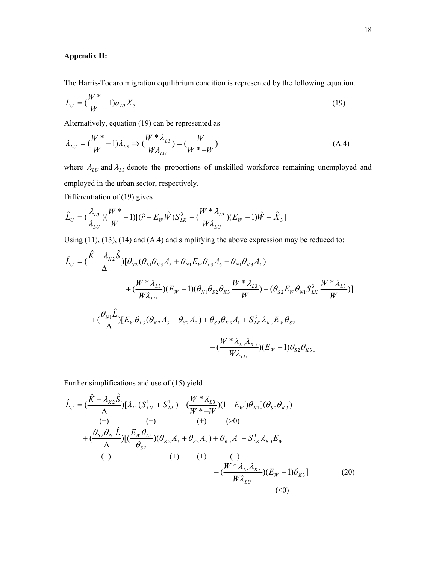## **Appendix II:**

The Harris-Todaro migration equilibrium condition is represented by the following equation.

$$
L_U = \left(\frac{W^*}{W} - 1\right) a_{L3} X_3 \tag{19}
$$

Alternatively, equation (19) can be represented as

$$
\lambda_{LU} = \left(\frac{W^*}{W} - 1\right)\lambda_{L3} \Longrightarrow \left(\frac{W^*\lambda_{L3}}{W\lambda_{LU}}\right) = \left(\frac{W}{W^* - W}\right)
$$
\n(A.4)

where  $\lambda_{LU}$  and  $\lambda_{L3}$  denote the proportions of unskilled workforce remaining unemployed and employed in the urban sector, respectively.

Differentiation of (19) gives

$$
\hat{L}_U = \left(\frac{\lambda_{L3}}{\lambda_{LU}}\right) \left(\frac{W^*}{W} - 1\right) \left[ (\hat{r} - E_W \hat{W}) S_{LK}^3 + \left(\frac{W^* \lambda_{L3}}{W \lambda_{LU}}\right) (E_W - 1) \hat{W} + \hat{X}_3 \right]
$$

Using (11), (13), (14) and (A.4) and simplifying the above expression may be reduced to:

$$
\hat{L}_{U} = (\frac{\hat{K} - \lambda_{K2} \hat{S}}{\Delta}) [\theta_{S2} (\theta_{L1} \theta_{K3} A_{5} + \theta_{N1} E_{W} \theta_{L3} A_{6} - \theta_{N1} \theta_{K3} A_{4})
$$
\n
$$
+ (\frac{W * \lambda_{L3}}{W \lambda_{LU}}) (E_{W} - 1) (\theta_{N1} \theta_{S2} \theta_{K3} \frac{W * \lambda_{L3}}{W}) - (\theta_{S2} E_{W} \theta_{N1} S_{LK}^{3} \frac{W * \lambda_{L3}}{W})]
$$
\n
$$
+ (\frac{\theta_{N1} \hat{L}}{\Delta}) [E_{W} \theta_{L3} (\theta_{K2} A_{3} + \theta_{S2} A_{2}) + \theta_{S2} \theta_{K3} A_{1} + S_{LK}^{3} \lambda_{K3} E_{W} \theta_{S2} - (\frac{W * \lambda_{L3} \lambda_{K3}}{W \lambda_{LU}}) (E_{W} - 1) \theta_{S2} \theta_{K3}]
$$

Further simplifications and use of (15) yield

$$
\hat{L}_{U} = (\frac{\hat{K} - \lambda_{K2} \hat{S}}{\Delta}) [\lambda_{L1} (S_{LN}^{1} + S_{NL}^{1}) - (\frac{W^{*} \lambda_{L3}}{W^{*} - W}) (1 - E_{W}) \theta_{N1}] (\theta_{S2} \theta_{K3})
$$
\n
$$
+ (\frac{\theta_{S2} \theta_{N1} \hat{L}}{\Delta}) [(\frac{E_{W} \theta_{L3}}{\theta_{S2}}) (\theta_{K2} A_{3} + \theta_{S2} A_{2}) + \theta_{K3} A_{1} + S_{LK}^{3} \lambda_{K3} E_{W}
$$
\n
$$
+ (\frac{\theta_{V} \lambda_{L3} \lambda_{K3}}{\Delta}) (E_{W} - 1) \theta_{K3}]
$$
\n
$$
- (\frac{W^{*} \lambda_{L3} \lambda_{K3}}{W \lambda_{LU}}) (E_{W} - 1) \theta_{K3}]
$$
\n(20)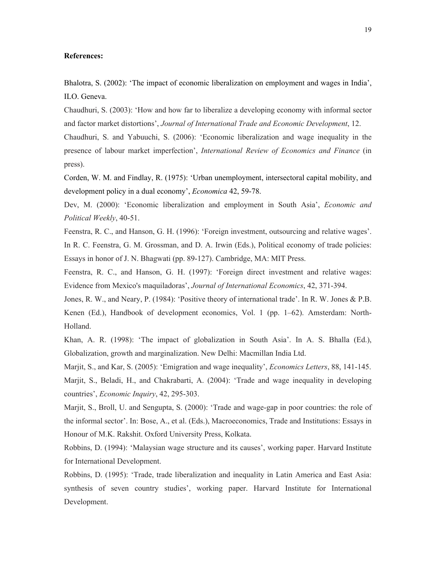#### **References:**

Bhalotra, S. (2002): 'The impact of economic liberalization on employment and wages in India', ILO. Geneva.

Chaudhuri, S. (2003): 'How and how far to liberalize a developing economy with informal sector and factor market distortions', *Journal of International Trade and Economic Development*, 12.

Chaudhuri, S. and Yabuuchi, S. (2006): 'Economic liberalization and wage inequality in the presence of labour market imperfection', *International Review of Economics and Finance* (in press).

Corden, W. M. and Findlay, R. (1975): 'Urban unemployment, intersectoral capital mobility, and development policy in a dual economy', *Economica* 42, 59-78.

Dev, M. (2000): 'Economic liberalization and employment in South Asia', *Economic and Political Weekly*, 40-51.

Feenstra, R. C., and Hanson, G. H. (1996): 'Foreign investment, outsourcing and relative wages'. In R. C. Feenstra, G. M. Grossman, and D. A. Irwin (Eds.), Political economy of trade policies: Essays in honor of J. N. Bhagwati (pp. 89-127). Cambridge, MA: MIT Press.

Feenstra, R. C., and Hanson, G. H. (1997): 'Foreign direct investment and relative wages: Evidence from Mexico's maquiladoras', *Journal of International Economics*, 42, 371-394.

Jones, R. W., and Neary, P. (1984): 'Positive theory of international trade'. In R. W. Jones & P.B. Kenen (Ed.), Handbook of development economics, Vol. 1 (pp. 1–62). Amsterdam: North-Holland.

Khan, A. R. (1998): 'The impact of globalization in South Asia'. In A. S. Bhalla (Ed.), Globalization, growth and marginalization. New Delhi: Macmillan India Ltd.

Marjit, S., and Kar, S. (2005): 'Emigration and wage inequality', *Economics Letters*, 88, 141-145. Marjit, S., Beladi, H., and Chakrabarti, A. (2004): 'Trade and wage inequality in developing countries', *Economic Inquiry*, 42, 295-303.

Marjit, S., Broll, U. and Sengupta, S. (2000): 'Trade and wage-gap in poor countries: the role of the informal sector'. In: Bose, A., et al. (Eds.), Macroeconomics, Trade and Institutions: Essays in Honour of M.K. Rakshit. Oxford University Press, Kolkata.

Robbins, D. (1994): 'Malaysian wage structure and its causes', working paper. Harvard Institute for International Development.

Robbins, D. (1995): 'Trade, trade liberalization and inequality in Latin America and East Asia: synthesis of seven country studies', working paper. Harvard Institute for International Development.